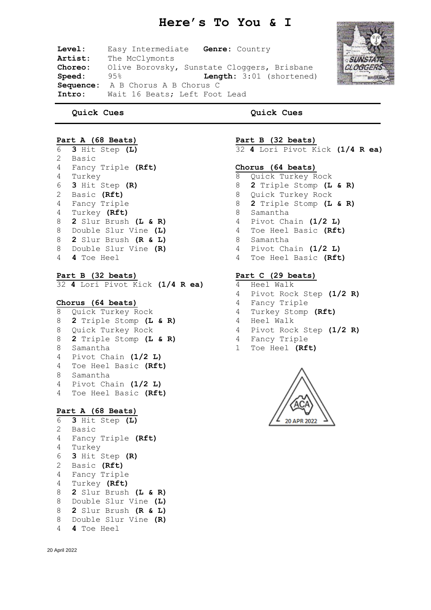# **Here's To You & I**

**Level:** Easy Intermediate **Genre:** Country Artist: The McClymonts **Choreo:** Olive Borovsky, Sunstate Cloggers, Brisbane<br> **Speed:** 95% **Length:** 3:01 (shortened) **Length:** 3:01 (shortened) **Sequence:** A B Chorus A B Chorus C **Intro:** Wait 16 Beats; Left Foot Lead



 **Quick Cues**

**Quick Cues**

## **Part A (68 Beats)**

- **3** Hit Step **(L)** Basic Fancy Triple **(Rft)** Turkey **3** Hit Step **(R)** Basic **(Rft)** Fancy Triple Turkey **(Rft) 2** Slur Brush **(L & R)** Double Slur Vine **(L) 2** Slur Brush **(R & L)** Double Slur Vine **(R) 4** Toe Heel
- **Part B (32 beats)**

**4** Lori Pivot Kick **(1/4 R ea)**

- **Chorus (64 beats)**
- Quick Turkey Rock **2** Triple Stomp **(L & R)** Quick Turkey Rock **2** Triple Stomp **(L & R)** Samantha Pivot Chain **(1/2 L)** Toe Heel Basic **(Rft)** Samantha Pivot Chain **(1/2 L)** Toe Heel Basic **(Rft)**

## **Part A (68 Beats)**

 **3** Hit Step **(L)** Basic Fancy Triple **(Rft)** Turkey **3** Hit Step **(R)** Basic **(Rft)** Fancy Triple Turkey **(Rft) 2** Slur Brush **(L & R)** Double Slur Vine **(L) 2** Slur Brush **(R & L)** Double Slur Vine **(R) 4** Toe Heel

**Part B (32 beats)**

**4** Lori Pivot Kick **(1/4 R ea)**

#### **Chorus (64 beats)**

 Quick Turkey Rock **2** Triple Stomp **(L & R)** Quick Turkey Rock **2** Triple Stomp **(L & R)** Samantha Pivot Chain **(1/2 L)** Toe Heel Basic **(Rft)** Samantha Pivot Chain **(1/2 L)** Toe Heel Basic **(Rft)**

# **Part C (29 beats)**

- Heel Walk
- Pivot Rock Step **(1/2 R)**
- Fancy Triple
- Turkey Stomp **(Rft)**
- Heel Walk
- Pivot Rock Step **(1/2 R)**
- Fancy Triple
- Toe Heel **(Rft)**